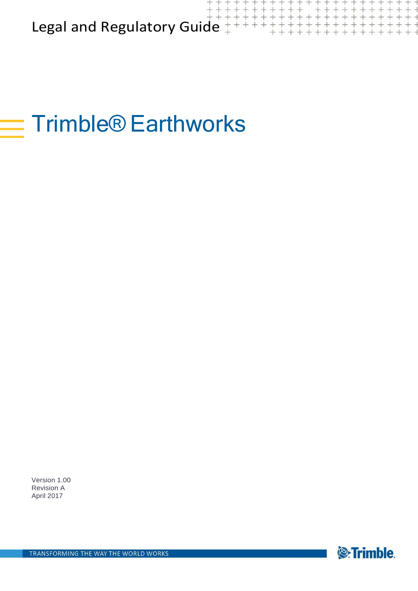

# $=$  **Trimble® Earthworks**

Version 1.00 Revision A April 2017

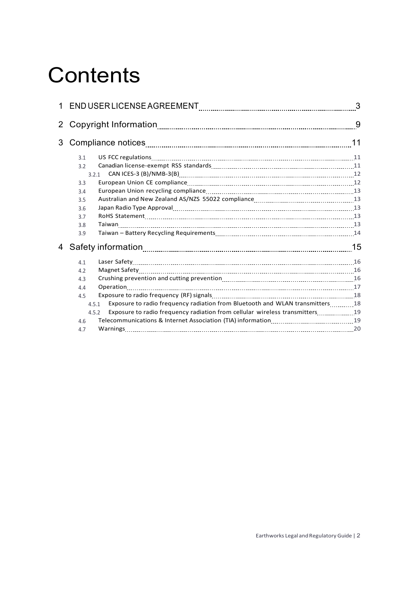# **Contents**

| 1              |                                                                                       |    |
|----------------|---------------------------------------------------------------------------------------|----|
| $\overline{2}$ |                                                                                       |    |
| 3              |                                                                                       | 11 |
|                | 3.1                                                                                   |    |
|                | 3.2                                                                                   |    |
|                | 3.2.1                                                                                 |    |
|                | 3.3                                                                                   |    |
|                | 3.4                                                                                   |    |
|                | 3.5                                                                                   |    |
|                | 3.6                                                                                   |    |
|                | 3.7                                                                                   |    |
|                | 3.8                                                                                   |    |
|                | 3.9                                                                                   |    |
| 4              |                                                                                       |    |
|                | 4.1                                                                                   |    |
|                | 4.2                                                                                   |    |
|                | 4.3                                                                                   |    |
|                | 4.4                                                                                   |    |
|                | 4.5                                                                                   |    |
|                | Exposure to radio frequency radiation from Bluetooth and WLAN transmitters18<br>4.5.1 |    |
|                | Exposure to radio frequency radiation from cellular wireless transmitters 19<br>4.5.2 |    |
|                | 4.6                                                                                   |    |
|                | 4.7                                                                                   |    |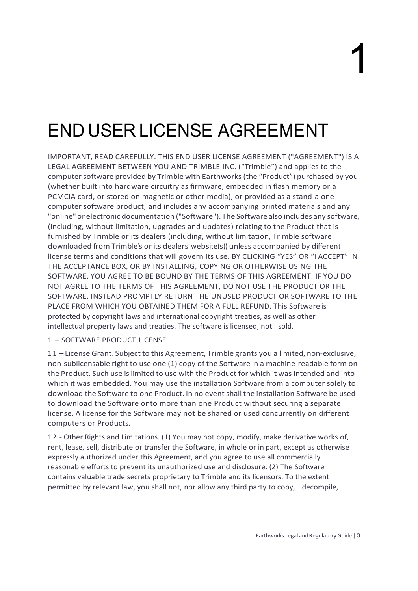# <span id="page-2-0"></span>END USER LICENSE AGREEMENT

IMPORTANT, READ CAREFULLY. THIS END USER LICENSE AGREEMENT ("AGREEMENT") IS A LEGAL AGREEMENT BETWEEN YOU AND TRIMBLE INC. ("Trimble") and applies to the computer software provided by Trimble with Earthworks (the "Product") purchased by you (whether built into hardware circuitry as firmware, embedded in flash memory or a PCMCIA card, or stored on magnetic or other media), or provided as a stand-alone computer software product, and includes any accompanying printed materials and any "online" or electronic documentation ("Software").The Software also includes any software, (including, without limitation, upgrades and updates) relating to the Product that is furnished by Trimble or its dealers (including, without limitation, Trimble software downloaded from Trimble's or its dealers' website(s)) unless accompanied by different license terms and conditions that will govern its use. BY CLICKING "YES" OR "I ACCEPT" IN THE ACCEPTANCE BOX, OR BY INSTALLING, COPYING OR OTHERWISE USING THE SOFTWARE, YOU AGREE TO BE BOUND BY THE TERMS OF THIS AGREEMENT. IF YOU DO NOT AGREE TO THE TERMS OF THIS AGREEMENT, DO NOT USE THE PRODUCT OR THE SOFTWARE. INSTEAD PROMPTLY RETURN THE UNUSED PRODUCT OR SOFTWARE TO THE PLACE FROM WHICH YOU OBTAINED THEM FOR A FULL REFUND. This Software is protected by copyright laws and international copyright treaties, as well as other intellectual property laws and treaties. The software is licensed, not sold.

#### 1. – SOFTWARE PRODUCT LICENSE

1.1 – License Grant. Subject to this Agreement, Trimble grants you a limited, non-exclusive, non-sublicensable right to use one (1) copy of the Software in a machine-readable form on the Product. Such use islimited to use with the Product for which it was intended and into which it was embedded. You may use the installation Software from a computer solely to download the Software to one Product. In no eventshall the installation Software be used to download the Software onto more than one Product without securing a separate license. A license for the Software may not be shared or used concurrently on different computers or Products.

1.2 - Other Rights and Limitations. (1) You may not copy, modify, make derivative works of, rent, lease, sell, distribute or transfer the Software, in whole or in part, except as otherwise expressly authorized under this Agreement, and you agree to use all commercially reasonable efforts to prevent its unauthorized use and disclosure. (2) The Software contains valuable trade secrets proprietary to Trimble and its licensors. To the extent permitted by relevant law, you shall not, nor allow any third party to copy, decompile,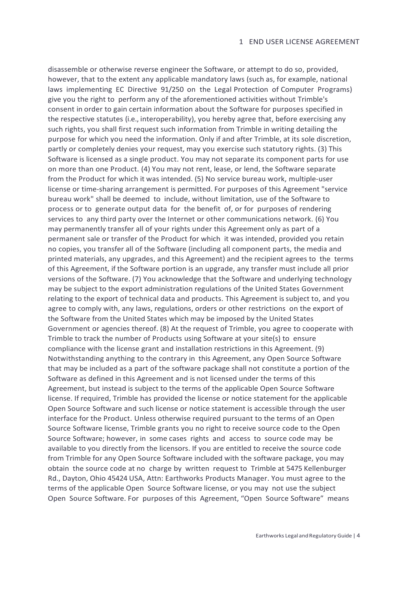disassemble or otherwise reverse engineer the Software, or attempt to do so, provided, however, that to the extent any applicable mandatory laws (such as, for example, national laws implementing EC Directive 91/250 on the Legal Protection of Computer Programs) give you the right to perform any of the aforementioned activities without Trimble's consent in order to gain certain information about the Software for purposes specified in the respective statutes (i.e., interoperability), you hereby agree that, before exercising any such rights, you shall first request such information from Trimble in writing detailing the purpose for which you need the information. Only if and after Trimble, at its sole discretion, partly or completely denies your request, may you exercise such statutory rights. (3) This Software is licensed as a single product. You may not separate its component parts for use on more than one Product. (4) You may not rent, lease, or lend, the Software separate from the Product for which it was intended. (5) No service bureau work, multiple-user license or time-sharing arrangement is permitted. For purposes of this Agreement "service bureau work" shall be deemed to include, without limitation, use of the Software to process or to generate output data for the benefit of, or for purposes of rendering services to any third party over the Internet or other communications network. (6) You may permanently transfer all of your rights under this Agreement only as part of a permanent sale or transfer of the Product for which it was intended, provided you retain no copies, you transfer all of the Software (including all component parts, the media and printed materials, any upgrades, and this Agreement) and the recipient agrees to the terms of this Agreement, if the Software portion is an upgrade, any transfer must include all prior versions of the Software. (7) You acknowledge that the Software and underlying technology may be subject to the export administration regulations of the United States Government relating to the export of technical data and products. This Agreement is subject to, and you agree to comply with, any laws, regulations, orders or other restrictions on the export of the Software from the United States which may be imposed by the United States Government or agencies thereof. (8) At the request of Trimble, you agree to cooperate with Trimble to track the number of Products using Software at your site(s) to ensure compliance with the license grant and installation restrictions in this Agreement. (9) Notwithstanding anything to the contrary in this Agreement, any Open Source Software that may be included as a part of the software package shall not constitute a portion of the Software as defined in this Agreement and is not licensed under the terms of this Agreement, but instead is subject to the terms of the applicable Open Source Software license. If required, Trimble has provided the license or notice statement for the applicable Open Source Software and such license or notice statement is accessible through the user interface for the Product. Unless otherwise required pursuant to the terms of an Open Source Software license, Trimble grants you no right to receive source code to the Open Source Software; however, in some cases rights and access to source code may be available to you directly from the licensors. If you are entitled to receive the source code from Trimble for any Open Source Software included with the software package, you may obtain the source code at no charge by written request to Trimble at 5475 Kellenburger Rd., Dayton, Ohio 45424 USA, Attn: Earthworks Products Manager. You must agree to the terms of the applicable Open Source Software license, or you may not use the subject Open Source Software. For purposes of this Agreement, "Open Source Software" means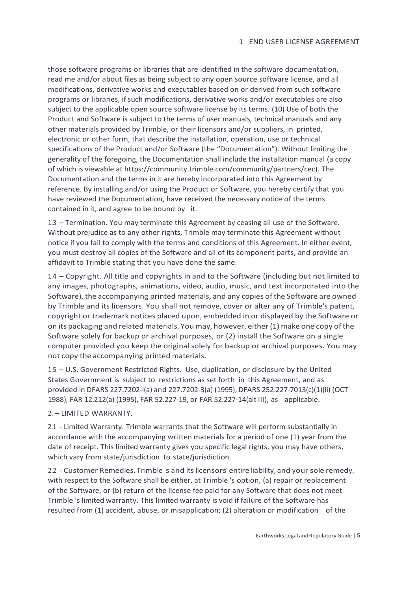those software programs or libraries that are identified in the software documentation, read me and/or about files as being subject to any open source software license, and all modifications, derivative works and executables based on or derived from such software programs or libraries, if such modifications, derivative works and/or executables are also subject to the applicable open source software license by its terms. (10) Use of both the Product and Software is subject to the terms of user manuals, technical manuals and any other materials provided by Trimble, or their licensors and/or suppliers, in printed, electronic or other form, that describe the installation, operation, use or technical specifications of the Product and/or Software (the "Documentation"). Without limiting the generality of the foregoing, the Documentation shall include the installation manual (a copy of which is viewable at https://community.trimble.com/community/partners/cec). The Documentation and the terms in it are hereby incorporated into this Agreement by reference. By installing and/or using the Product or Software, you hereby certify that you have reviewed the Documentation, have received the necessary notice of the terms contained in it, and agree to be bound by it.

1.3 – Termination. You may terminate this Agreement by ceasing all use of the Software. Without prejudice as to any other rights, Trimble may terminate this Agreement without notice if you fail to comply with the terms and conditions of this Agreement. In either event, you must destroy all copies of the Software and all of its component parts, and provide an affidavit to Trimble stating that you have done the same.

1.4 – Copyright. All title and copyrights in and to the Software (including but not limited to any images, photographs, animations, video, audio, music, and text incorporated into the Software), the accompanying printed materials, and any copies ofthe Software are owned by Trimble and its licensors. You shall not remove, cover or alter any of Trimble's patent, copyright or trademark notices placed upon, embedded in or displayed by the Software or on its packaging and related materials. You may, however, either (1) make one copy ofthe Software solely for backup or archival purposes, or (2) install the Software on a single computer provided you keep the original solely for backup or archival purposes. You may not copy the accompanying printed materials.

1.5 – U.S. Government Restricted Rights. Use, duplication, or disclosure by the United States Government is subject to restrictions as set forth in this Agreement, and as provided in DFARS 227.7202-l(a) and 227.7202-3(a) (1995), DFARS 252.227-7013(c)(1)(ii) (OCT 1988), FAR 12.212(a) (1995), FAR 52.227-19, or FAR 52.227-14(alt III), as applicable.

2. – LIMITED WARRANTY.

2.1 - Limited Warranty. Trimble warrants that the Software will perform substantially in accordance with the accompanying written materials for a period of one (1) year from the date of receipt. This limited warranty gives you specific legal rights, you may have others, which vary from state/jurisdiction to state/jurisdiction.

2.2 - Customer Remedies. Trimble 's and itslicensors' entire liability, and your sole remedy, with respect to the Software shall be either, at Trimble 's option, (a) repair or replacement of the Software, or (b) return of the license fee paid for any Software that does not meet Trimble 's limited warranty. This limited warranty is void if failure of the Software has resulted from (1) accident, abuse, or misapplication; (2) alteration or modification of the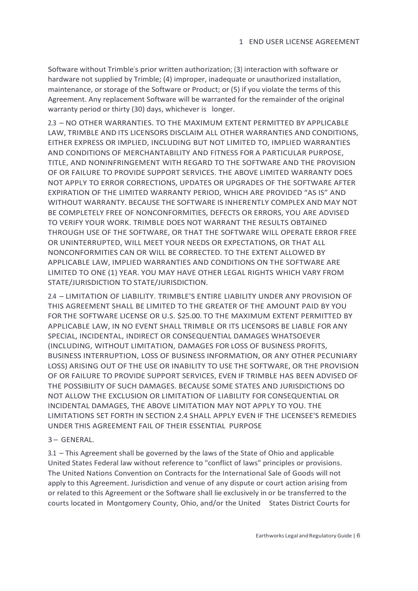Software without Trimble's prior written authorization; (3) interaction with software or hardware not supplied by Trimble; (4) improper, inadequate or unauthorized installation, maintenance, or storage of the Software or Product; or (5) if you violate the terms of this Agreement. Any replacement Software will be warranted for the remainder of the original warranty period or thirty (30) days, whichever is longer.

2.3 – NO OTHER WARRANTIES. TO THE MAXIMUM EXTENT PERMITTED BY APPLICABLE LAW, TRIMBLE AND ITS LICENSORS DISCLAIM ALL OTHER WARRANTIES AND CONDITIONS, EITHER EXPRESS OR IMPLIED, INCLUDING BUT NOT LIMITED TO, IMPLIED WARRANTIES AND CONDITIONS OF MERCHANTABILITY AND FITNESS FOR A PARTICULAR PURPOSE, TITLE, AND NONINFRINGEMENT WITH REGARD TO THE SOFTWARE AND THE PROVISION OF OR FAILURE TO PROVIDE SUPPORT SERVICES. THE ABOVE LIMITED WARRANTY DOES NOT APPLY TO ERROR CORRECTIONS, UPDATES OR UPGRADES OF THE SOFTWARE AFTER EXPIRATION OF THE LIMITED WARRANTY PERIOD, WHICH ARE PROVIDED "AS IS" AND WITHOUT WARRANTY. BECAUSE THE SOFTWARE IS INHERENTLY COMPLEX AND MAY NOT BE COMPLETELY FREE OF NONCONFORMITIES, DEFECTS OR ERRORS, YOU ARE ADVISED TO VERIFY YOUR WORK. TRIMBLE DOES NOT WARRANT THE RESULTS OBTAINED THROUGH USE OF THE SOFTWARE, OR THAT THE SOFTWARE WILL OPERATE ERROR FREE OR UNINTERRUPTED, WILL MEET YOUR NEEDS OR EXPECTATIONS, OR THAT ALL NONCONFORMITIES CAN OR WILL BE CORRECTED. TO THE EXTENT ALLOWED BY APPLICABLE LAW, IMPLIED WARRANTIES AND CONDITIONS ON THE SOFTWARE ARE LIMITED TO ONE (1) YEAR. YOU MAY HAVE OTHER LEGAL RIGHTS WHICH VARY FROM STATE/JURISDICTION TO STATE/JURISDICTION.

2.4 – LIMITATION OF LIABILITY. TRIMBLE'S ENTIRE LIABILITY UNDER ANY PROVISION OF THIS AGREEMENT SHALL BE LIMITED TO THE GREATER OF THE AMOUNT PAID BY YOU FOR THE SOFTWARE LICENSE OR U.S. \$25.00. TO THE MAXIMUM EXTENT PERMITTED BY APPLICABLE LAW, IN NO EVENT SHALL TRIMBLE OR ITS LICENSORS BE LIABLE FOR ANY SPECIAL, INCIDENTAL, INDIRECT OR CONSEQUENTIAL DAMAGES WHATSOEVER (INCLUDING, WITHOUT LIMITATION, DAMAGES FOR LOSS OF BUSINESS PROFITS, BUSINESS INTERRUPTION, LOSS OF BUSINESS INFORMATION, OR ANY OTHER PECUNIARY LOSS) ARISING OUT OF THE USE OR INABILITY TO USE THE SOFTWARE, OR THE PROVISION OF OR FAILURE TO PROVIDE SUPPORT SERVICES, EVEN IF TRIMBLE HAS BEEN ADVISED OF THE POSSIBILITY OF SUCH DAMAGES. BECAUSE SOME STATES AND JURISDICTIONS DO NOT ALLOW THE EXCLUSION OR LIMITATION OF LIABILITY FOR CONSEQUENTIAL OR INCIDENTAL DAMAGES, THE ABOVE LIMITATION MAY NOT APPLY TO YOU. THE LIMITATIONS SET FORTH IN SECTION 2.4 SHALL APPLY EVEN IF THE LICENSEE'S REMEDIES UNDER THIS AGREEMENT FAIL OF THEIR ESSENTIAL PURPOSE

#### 3 – GENERAL.

3.1 – This Agreement shall be governed by the laws of the State of Ohio and applicable United States Federal law without reference to "conflict of laws" principles or provisions. The United Nations Convention on Contracts for the International Sale of Goods will not apply to this Agreement. Jurisdiction and venue of any dispute or court action arising from or related to this Agreement or the Software shall lie exclusively in or be transferred to the courts located in Montgomery County, Ohio, and/or the United States District Courts for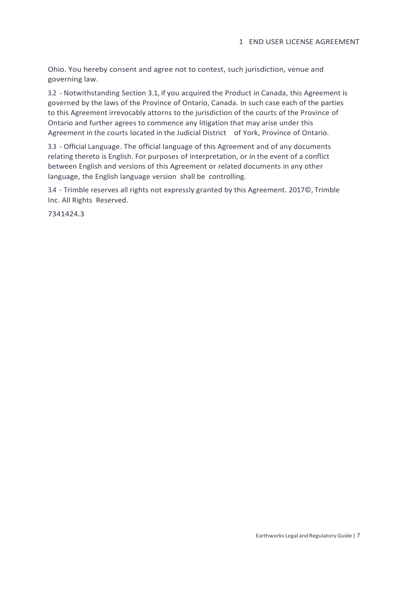Ohio. You hereby consent and agree not to contest, such jurisdiction, venue and governing law.

3.2 - Notwithstanding Section 3.1, if you acquired the Product in Canada, this Agreement is governed by the laws of the Province of Ontario, Canada. In such case each of the parties to this Agreement irrevocably attorns to the jurisdiction of the courts of the Province of Ontario and further agrees to commence any litigation that may arise under this Agreement in the courts located in the Judicial District of York, Province of Ontario.

3.3 - Official Language. The official language of this Agreement and of any documents relating thereto is English. For purposes of interpretation, or in the event of a conflict between English and versions of this Agreement or related documents in any other language, the English language version shall be controlling.

3.4 - Trimble reserves all rights not expressly granted by this Agreement. 2017© , Trimble Inc. All Rights Reserved.

7341424.3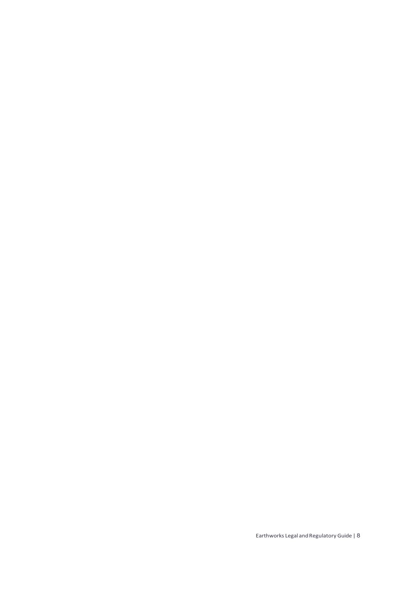Earthworks Legal and Regulatory Guide | 8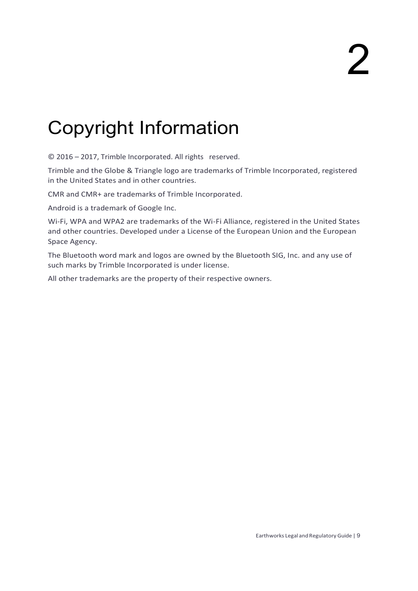# <span id="page-8-0"></span>Copyright Information

© 2016 – 2017, Trimble Incorporated. All rights reserved.

Trimble and the Globe & Triangle logo are trademarks of Trimble Incorporated, registered in the United States and in other countries.

CMR and CMR+ are trademarks of Trimble Incorporated.

Android is a trademark of Google Inc.

Wi-Fi, WPA and WPA2 are trademarks of the Wi-Fi Alliance, registered in the United States and other countries. Developed under a License of the European Union and the European Space Agency.

The Bluetooth word mark and logos are owned by the Bluetooth SIG, Inc. and any use of such marks by Trimble Incorporated is under license.

All other trademarks are the property of their respective owners.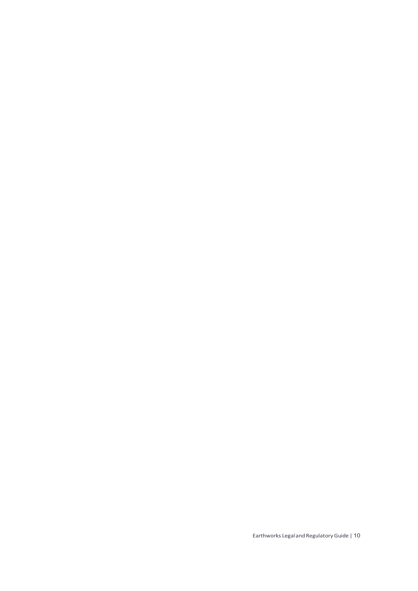Earthworks Legal and Regulatory Guide | 10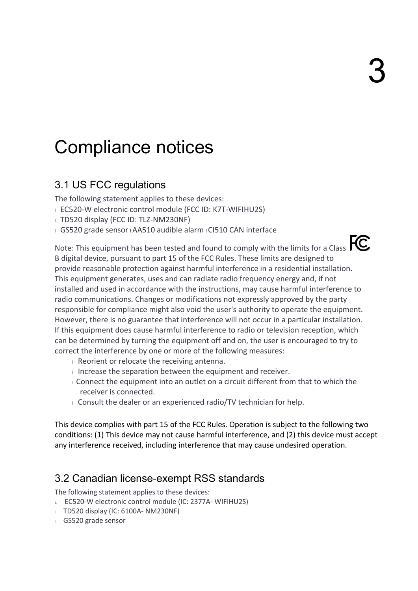## <span id="page-10-1"></span><span id="page-10-0"></span>Compliance notices

### 3.1 US FCC regulations

The following statement applies to these devices:

- <sup>l</sup>EC520‐W electronic control module (FCC ID: K7T‐WIFIHU2S)
- I TD520 display (FCC ID: TLZ-NM230NF)
- I GS520 grade sensor IAA510 audible alarm ICI510 CAN interface

Note: This equipment has been tested and found to comply with the limits for a Class  $\mathcal{C}$ B digital device, pursuant to part 15 of the FCC Rules. These limits are designed to provide reasonable protection against harmful interference in a residential installation. This equipment generates, uses and can radiate radio frequency energy and, if not installed and used in accordance with the instructions, may cause harmful interference to radio communications. Changes or modifications not expressly approved by the party responsible for compliance might also void the user's authority to operate the equipment. However, there is no guarantee that interference will not occur in a particular installation. If this equipment does cause harmful interference to radio or television reception, which can be determined by turning the equipment off and on, the user is encouraged to try to correct the interference by one or more of the following measures:

- $\overline{\phantom{a}}$  Reorient or relocate the receiving antenna.
- $\Box$  Increase the separation between the equipment and receiver.
- <sup>L</sup>Connect the equipment into an outlet on a circuit different from that to which the receiver is connected.
- $\overline{a}$  Consult the dealer or an experienced radio/TV technician for help.

<span id="page-10-2"></span>This device complies with part 15 of the FCC Rules. Operation is subject to the following two conditions: (1) This device may not cause harmful interference, and (2) this device must accept any interference received, including interference that may cause undesired operation.

#### 3.2 Canadian license-exempt RSS standards

The following statement applies to these devices:

- <sup>L</sup>EC520‐W electronic control module (IC: 2377A‐ WIFIHU2S)
- <sup>l</sup>TD520 display (IC: 6100A‐ NM230NF)
- <sup>l</sup>GS520 grade sensor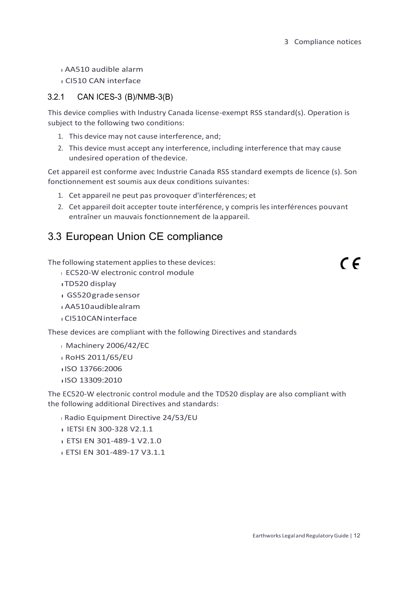l AA510 audible alarm

<span id="page-11-0"></span>l CI510 CAN interface

#### 3.2.1 CAN ICES-3 (B)/NMB-3(B)

This device complies with Industry Canada license-exempt RSS standard(s). Operation is subject to the following two conditions:

- 1. This device may not cause interference, and;
- 2. This device must accept any interference, including interference that may cause undesired operation of thedevice.

Cet appareil est conforme avec Industrie Canada RSS standard exempts de licence (s). Son fonctionnement est soumis aux deux conditions suivantes:

- 1. Cet appareil ne peut pas provoquer d'interférences; et
- 2. Cet appareil doit accepter toute interférence, y compris les interférences pouvant entraîner un mauvais fonctionnement de la appareil.

#### <span id="page-11-1"></span>3.3 European Union CE compliance

The following statement applies to these devices:

- **LEC520-W electronic control module**
- lTD520 display
- l GS520gradesensor
- lAA510audiblealram
- lCI510CANinterface

These devices are compliant with the following Directives and standards

- <sup>l</sup>Machinery 2006/42/EC
- l RoHS 2011/65/EU
- lISO 13766:2006
- lISO 13309:2010

The EC520-W electronic control module and the TD520 display are also compliant with the following additional Directives and standards:

- <sup>l</sup>Radio Equipment Directive 24/53/EU
- l IETSI EN 300-328 V2.1.1
- l ETSI EN 301-489-1 V2.1.0
- l ETSI EN 301-489-17 V3.1.1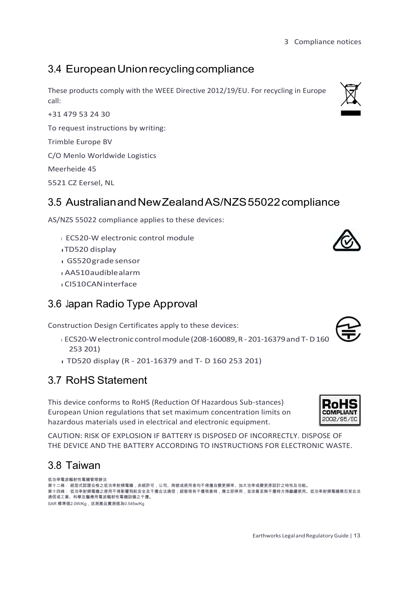## <span id="page-12-0"></span>3.4 European Union recycling compliance

These products comply with the WEEE Directive 2012/19/EU. For recycling in Europe call:

+31 479 53 24 30

To request instructions by writing:

Trimble Europe BV

C/O Menlo Worldwide Logistics

Meerheide 45

<span id="page-12-1"></span>5521 CZ Eersel, NL

#### 3.5 AustralianandNewZealandAS/NZS55022compliance

AS/NZS 55022 compliance applies to these devices:

- **LEC520-W electronic control module**
- lTD520 display
- l GS520gradesensor
- lAA510audiblealarm
- lCI510CANinterface

### <span id="page-12-2"></span>3.6 Japan Radio Type Approval

Construction Design Certificates apply to these devices:

- <sup>l</sup> EC520-Welectronic controlmodule (208-160089,R 201-16379and T-D160 253 201)
- <span id="page-12-3"></span>l TD520 display (R - 201-16379 and T- D 160 253 201)

### 3.7 RoHS Statement

This device conforms to RoHS (Reduction Of Hazardous Sub-stances) European Union regulations that set maximum concentration limits on hazardous materials used in electrical and electronic equipment.

<span id="page-12-4"></span>CAUTION: RISK OF EXPLOSION IF BATTERY IS DISPOSED OF INCORRECTLY. DISPOSE OF THE DEVICE AND THE BATTERY ACCORDING TO INSTRUCTIONS FOR ELECTRONIC WASTE.

#### 3.8 Taiwan

```
低功率電波輻射性電機管理辦法
第十二條: 經型式認證合格之低功率射頻電機,非經許可,公司、商號或使用者均不得擅自變更頻率、加大功率或變更原設計之特性及功能。
第十四條: 低功率射頻電機之使用不得影響飛航安全及干擾合法通信;經發現有干擾現象時,應立即停用,並改善至無干擾時方得繼續使用。低功率射頻電機需忍受合法
通信或工業、科學及醫療用電波輻射性電機設備之干擾。
SAR 標準值2.0W/Kg,送測產品實測值為0.545w/Kg
```






3 Compliance notices



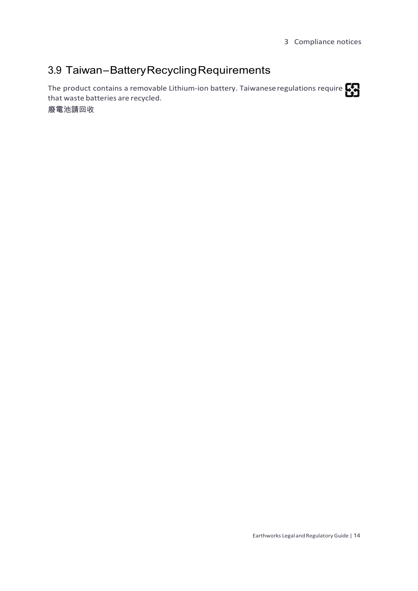### <span id="page-13-0"></span>3.9 Taiwan–BatteryRecyclingRequirements

The product contains a removable Lithium-ion battery. Taiwanese regulations require that waste batteries are recycled.

廢電池請回收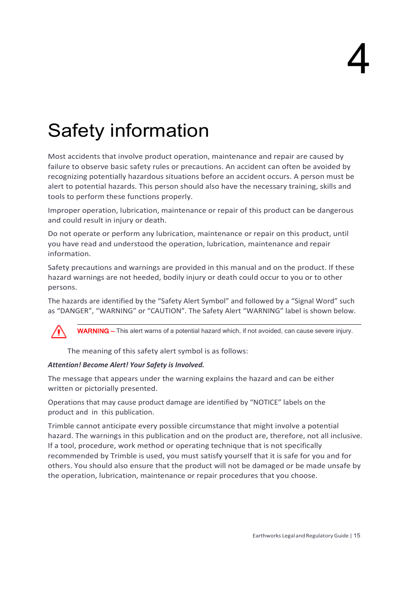# <span id="page-14-0"></span>Safety information

Most accidents that involve product operation, maintenance and repair are caused by failure to observe basic safety rules or precautions. An accident can often be avoided by recognizing potentially hazardous situations before an accident occurs. A person must be alert to potential hazards. This person should also have the necessary training, skills and tools to perform these functions properly.

Improper operation, lubrication, maintenance or repair of this product can be dangerous and could result in injury or death.

Do not operate or perform any lubrication, maintenance or repair on this product, until you have read and understood the operation, lubrication, maintenance and repair information.

Safety precautions and warnings are provided in this manual and on the product. If these hazard warnings are not heeded, bodily injury or death could occur to you or to other persons.

The hazards are identified by the "Safety Alert Symbol" and followed by a "Signal Word" such as "DANGER", "WARNING" or "CAUTION". The Safety Alert "WARNING" label is shown below.

WARNING – This alert warns of a potential hazard which, if not avoided, can cause severe injury.

The meaning of this safety alert symbol is as follows:

#### *Attention! Become Alert! Your Safety is Involved.*

The message that appears under the warning explains the hazard and can be either written or pictorially presented.

Operations that may cause product damage are identified by "NOTICE" labels on the product and in this publication.

Trimble cannot anticipate every possible circumstance that might involve a potential hazard. The warnings in this publication and on the product are, therefore, not all inclusive. If a tool, procedure, work method or operating technique that is not specifically recommended by Trimble is used, you must satisfy yourself that it is safe for you and for others. You should also ensure that the product will not be damaged or be made unsafe by the operation, lubrication, maintenance or repair procedures that you choose.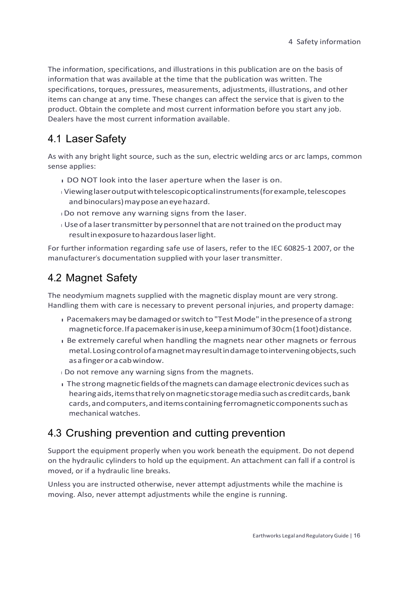The information, specifications, and illustrations in this publication are on the basis of information that was available at the time that the publication was written. The specifications, torques, pressures, measurements, adjustments, illustrations, and other items can change at any time. These changes can affect the service that is given to the product. Obtain the complete and most current information before you start any job. Dealers have the most current information available.

### <span id="page-15-0"></span>4.1 Laser Safety

As with any bright light source, such as the sun, electric welding arcs or arc lamps, common sense applies:

- l DO NOT look into the laser aperture when the laser is on.
- <sup>l</sup> Viewinglaseroutputwithtelescopicopticalinstruments(forexample,telescopes andbinoculars)mayposeaneyehazard.
- <sup>l</sup>Do not remove any warning signs from the laser.
- <sup>l</sup> Useofa lasertransmitter by personnelthat arenottrainedon theproductmay resultinexposuretohazardouslaserlight.

<span id="page-15-1"></span>For further information regarding safe use of lasers, refer to the IEC 60825-1 2007, or the manufacturer's documentation supplied with your laser transmitter.

#### 4.2 Magnet Safety

The neodymium magnets supplied with the magnetic display mount are very strong. Handling them with care is necessary to prevent personal injuries, and property damage:

- l Pacemakersmaybedamagedorswitchto"TestMode" inthepresenceofastrong magneticforce.Ifapacemakerisinuse, keepaminimum of 30cm (1foot) distance.
- l Be extremely careful when handling the magnets near other magnets or ferrous metal.Losingcontrolofamagnetmayresultindamagetointerveningobjects,such asafingeroracabwindow.
- <sup>l</sup>Do not remove any warning signs from the magnets.
- l The strongmagnetic fieldsofthemagnets candamageelectronicdevicessuchas hearingaids,itemsthatrelyonmagneticstoragemediasuchascreditcards,bank cards, and computers, and items containing ferromagnetic components such as mechanical watches.

### <span id="page-15-2"></span>4.3 Crushing prevention and cutting prevention

Support the equipment properly when you work beneath the equipment. Do not depend on the hydraulic cylinders to hold up the equipment. An attachment can fall if a control is moved, or if a hydraulic line breaks.

Unless you are instructed otherwise, never attempt adjustments while the machine is moving. Also, never attempt adjustments while the engine is running.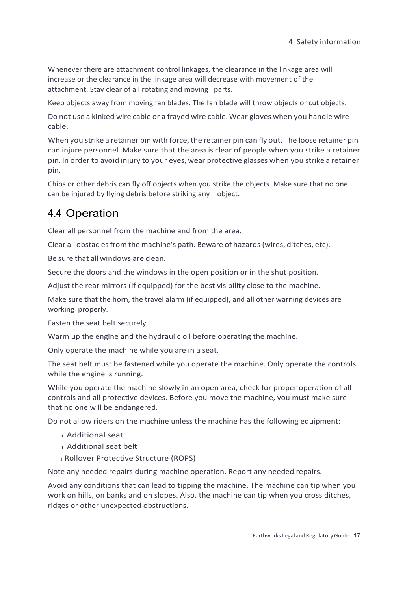Whenever there are attachment control linkages, the clearance in the linkage area will increase or the clearance in the linkage area will decrease with movement of the attachment. Stay clear of all rotating and moving parts.

Keep objects away from moving fan blades. The fan blade will throw objects or cut objects.

Do not use a kinked wire cable or a frayed wire cable.Wear gloves when you handle wire cable.

When you strike a retainer pin with force, the retainer pin can fly out. The loose retainer pin can injure personnel. Make sure that the area is clear of people when you strike a retainer pin. In order to avoid injury to your eyes, wear protective glasses when you strike a retainer pin.

<span id="page-16-0"></span>Chips or other debris can fly off objects when you strike the objects. Make sure that no one can be injured by flying debris before striking any object.

### 4.4 Operation

Clear all personnel from the machine and from the area.

Clear all obstaclesfrom the machine's path. Beware of hazards (wires, ditches, etc).

Be sure that all windows are clean.

Secure the doors and the windows in the open position or in the shut position.

Adjust the rear mirrors (if equipped) for the best visibility close to the machine.

Make sure that the horn, the travel alarm (if equipped), and all other warning devices are working properly.

Fasten the seat belt securely.

Warm up the engine and the hydraulic oil before operating the machine.

Only operate the machine while you are in a seat.

The seat belt must be fastened while you operate the machine. Only operate the controls while the engine is running.

While you operate the machine slowly in an open area, check for proper operation of all controls and all protective devices. Before you move the machine, you must make sure that no one will be endangered.

Do not allow riders on the machine unless the machine has the following equipment:

- l Additional seat
- l Additional seat belt
- **Rollover Protective Structure (ROPS)**

Note any needed repairs during machine operation. Report any needed repairs.

Avoid any conditions that can lead to tipping the machine. The machine can tip when you work on hills, on banks and on slopes. Also, the machine can tip when you cross ditches, ridges or other unexpected obstructions.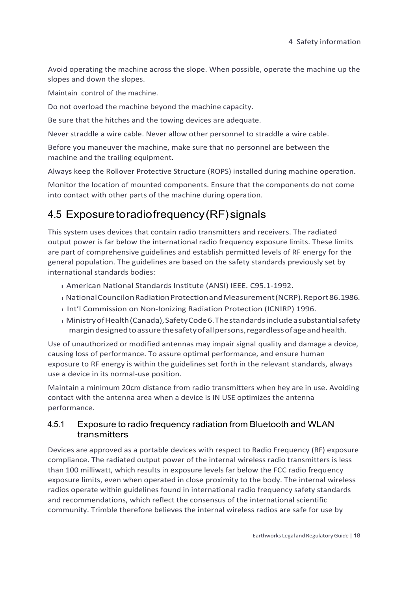Avoid operating the machine across the slope. When possible, operate the machine up the slopes and down the slopes.

Maintain control of the machine.

Do not overload the machine beyond the machine capacity.

Be sure that the hitches and the towing devices are adequate.

Never straddle a wire cable. Never allow other personnel to straddle a wire cable.

Before you maneuver the machine, make sure that no personnel are between the machine and the trailing equipment.

Always keep the Rollover Protective Structure (ROPS) installed during machine operation.

<span id="page-17-0"></span>Monitor the location of mounted components. Ensure that the components do not come into contact with other parts of the machine during operation.

#### 4.5 Exposuretoradiofrequency(RF)signals

This system uses devices that contain radio transmitters and receivers. The radiated output power is far below the international radio frequency exposure limits. These limits are part of comprehensive guidelines and establish permitted levels of RF energy for the general population. The guidelines are based on the safety standards previously set by international standards bodies:

- l American National Standards Institute (ANSI) IEEE. C95.1-1992.
- lNationalCouncilonRadiationProtectionandMeasurement(NCRP).Report86.1986.
- l Int'l Commission on Non-Ionizing Radiation Protection (ICNIRP) 1996.
- l MinistryofHealth(Canada),SafetyCode6.Thestandardsincludeasubstantialsafety margindesignedtoassurethesafetyofallpersons,regardlessofageandhealth.

Use of unauthorized or modified antennas may impair signal quality and damage a device, causing loss of performance. To assure optimal performance, and ensure human exposure to RF energy is within the guidelines set forth in the relevant standards, always use a device in its normal-use position.

Maintain a minimum 20cm distance from radio transmitters when hey are in use. Avoiding contact with the antenna area when a device is IN USE optimizes the antenna performance.

#### <span id="page-17-1"></span>4.5.1 Exposure to radio frequency radiation from Bluetooth and WLAN transmitters

Devices are approved as a portable devices with respect to Radio Frequency (RF) exposure compliance. The radiated output power of the internal wireless radio transmitters is less than 100 milliwatt, which results in exposure levels far below the FCC radio frequency exposure limits, even when operated in close proximity to the body. The internal wireless radios operate within guidelines found in international radio frequency safety standards and recommendations, which reflect the consensus of the international scientific community. Trimble therefore believes the internal wireless radios are safe for use by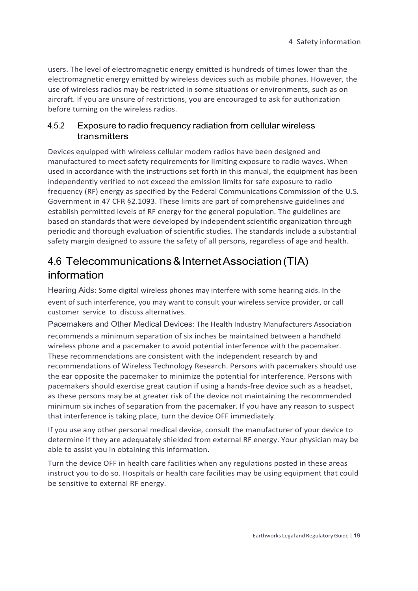users. The level of electromagnetic energy emitted is hundreds of times lower than the electromagnetic energy emitted by wireless devices such as mobile phones. However, the use of wireless radios may be restricted in some situations or environments, such as on aircraft. If you are unsure of restrictions, you are encouraged to ask for authorization before turning on the wireless radios.

#### <span id="page-18-0"></span>4.5.2 Exposure to radio frequency radiation from cellular wireless transmitters

Devices equipped with wireless cellular modem radios have been designed and manufactured to meet safety requirements for limiting exposure to radio waves. When used in accordance with the instructions set forth in this manual, the equipment has been independently verified to not exceed the emission limits for safe exposure to radio frequency (RF) energy as specified by the Federal Communications Commission of the U.S. Government in 47 CFR §2.1093. These limits are part of comprehensive guidelines and establish permitted levels of RF energy for the general population. The guidelines are based on standards that were developed by independent scientific organization through periodic and thorough evaluation of scientific studies. The standards include a substantial safety margin designed to assure the safety of all persons, regardless of age and health.

#### <span id="page-18-1"></span>4.6 Telecommunications&InternetAssociation(TIA) information

Hearing Aids: Some digital wireless phones may interfere with some hearing aids. In the event of such interference, you may want to consult your wireless service provider, or call customer service to discuss alternatives.

Pacemakers and Other Medical Devices: The Health Industry Manufacturers Association recommends a minimum separation of six inches be maintained between a handheld wireless phone and a pacemaker to avoid potential interference with the pacemaker. These recommendations are consistent with the independent research by and recommendations of Wireless Technology Research. Persons with pacemakers should use the ear opposite the pacemaker to minimize the potential for interference. Persons with pacemakers should exercise great caution if using a hands-free device such as a headset, as these persons may be at greater risk of the device not maintaining the recommended minimum six inches of separation from the pacemaker. If you have any reason to suspect that interference is taking place, turn the device OFF immediately.

If you use any other personal medical device, consult the manufacturer of your device to determine if they are adequately shielded from external RF energy. Your physician may be able to assist you in obtaining this information.

Turn the device OFF in health care facilities when any regulations posted in these areas instruct you to do so. Hospitals or health care facilities may be using equipment that could be sensitive to external RF energy.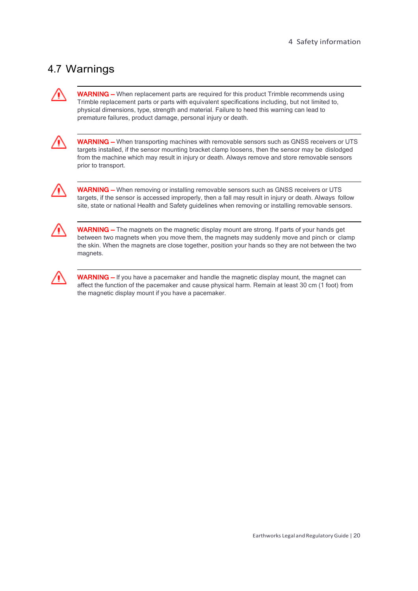#### <span id="page-19-0"></span>4.7 Warnings

WARNING – When replacement parts are required for this product Trimble recommends using Trimble replacement parts or parts with equivalent specifications including, but not limited to, physical dimensions, type, strength and material. Failure to heed this warning can lead to premature failures, product damage, personal injury or death.



WARNING - When transporting machines with removable sensors such as GNSS receivers or UTS targets installed, if the sensor mounting bracket clamp loosens, then the sensor may be dislodged from the machine which may result in injury or death. Always remove and store removable sensors prior to transport.



 WARNING — When removing or installing removable sensors such as GNSS receivers or UTS targets, if the sensor is accessed improperly, then a fall may result in injury or death. Always follow site, state or national Health and Safety guidelines when removing or installing removable sensors.



WARNING – The magnets on the magnetic display mount are strong. If parts of your hands get between two magnets when you move them, the magnets may suddenly move and pinch or clamp the skin. When the magnets are close together, position your hands so they are not between the two magnets.



WARNING - If you have a pacemaker and handle the magnetic display mount, the magnet can affect the function of the pacemaker and cause physical harm. Remain at least 30 cm (1 foot) from the magnetic display mount if you have a pacemaker.